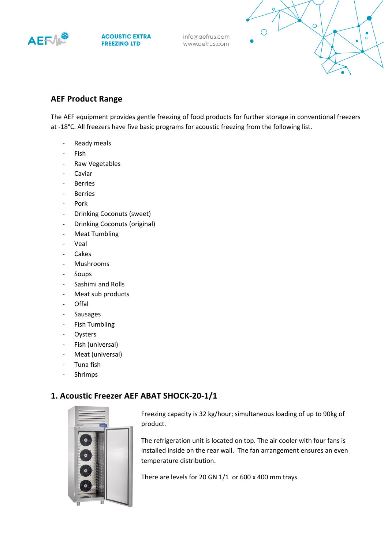

**ACOUSTIC EXTRA FREEZING LTD** 

info@aefrus.com www.aefrus.com



# **AEF Product Range**

The AEF equipment provides gentle freezing of food products for further storage in conventional freezers at -18°С. All freezers have five basic programs for acoustic freezing from the following list.

- Ready meals
- **Fish**
- Raw Vegetables
- **Caviar**
- **Berries**
- **Berries**
- Pork
- Drinking Coconuts (sweet)
- Drinking Coconuts (original)
- Meat Tumbling
- **Veal**
- **Cakes**
- Mushrooms
- **Soups**
- Sashimi and Rolls
- Meat sub products
- Offal
- **Sausages**
- Fish Tumbling
- **Oysters**
- Fish (universal)
- Meat (universal)
- Tuna fish
- **Shrimps**

## **1. Acoustic Freezer AEF ABAT SHOCK-20-1/1**



Freezing capacity is 32 kg/hour; simultaneous loading of up to 90kg of product.

The refrigeration unit is located on top. The air cooler with four fans is installed inside on the rear wall. The fan arrangement ensures an even temperature distribution.

There are levels for 20 GN 1/1 or 600 x 400 mm trays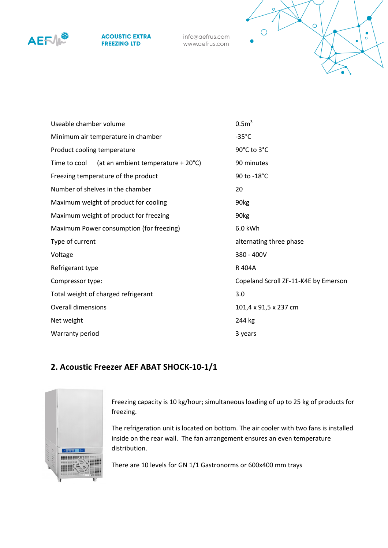

#### **ACOUSTIC EXTRA FREEZING LTD**

info@aefrus.com www.aefrus.com



| Useable chamber volume                             | 0.5 <sup>3</sup>                     |
|----------------------------------------------------|--------------------------------------|
| Minimum air temperature in chamber                 | $-35^{\circ}$ C                      |
| Product cooling temperature                        | 90°C to 3°C                          |
| (at an ambient temperature + 20°C)<br>Time to cool | 90 minutes                           |
| Freezing temperature of the product                | 90 to -18°C                          |
| Number of shelves in the chamber                   | 20                                   |
| Maximum weight of product for cooling              | 90 <sub>kg</sub>                     |
| Maximum weight of product for freezing             | 90 <sub>kg</sub>                     |
| Maximum Power consumption (for freezing)           | 6.0 kWh                              |
| Type of current                                    | alternating three phase              |
| Voltage                                            | 380 - 400V                           |
| Refrigerant type                                   | R 404A                               |
| Compressor type:                                   | Copeland Scroll ZF-11-K4E by Emerson |
| Total weight of charged refrigerant                | 3.0                                  |
| <b>Overall dimensions</b>                          | 101,4 x 91,5 x 237 cm                |
| Net weight                                         | 244 kg                               |
| Warranty period                                    | 3 years                              |

# **2. Acoustic Freezer AEF ABAT SHOCK-10-1/1**



Freezing capacity is 10 kg/hour; simultaneous loading of up to 25 kg of products for freezing.

The refrigeration unit is located on bottom. The air cooler with two fans is installed inside on the rear wall. The fan arrangement ensures an even temperature distribution.

There are 10 levels for GN 1/1 Gastronorms or 600x400 mm trays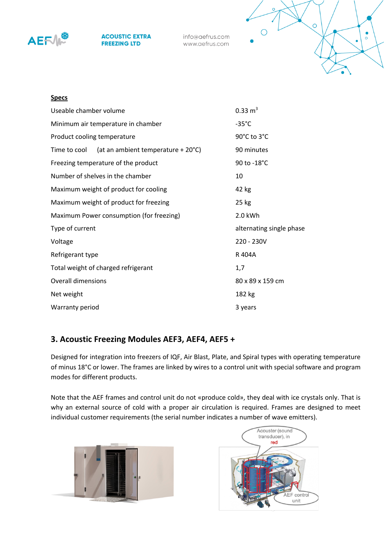

**ACOUSTIC EXTRA FREEZING LTD** 

info@aefrus.com www.aefrus.com



### **Specs**

| Useable chamber volume                             | $0.33 \text{ m}^3$       |
|----------------------------------------------------|--------------------------|
| Minimum air temperature in chamber                 | $-35^{\circ}$ C          |
| Product cooling temperature                        | 90°C to 3°C              |
| (at an ambient temperature + 20°C)<br>Time to cool | 90 minutes               |
| Freezing temperature of the product                | 90 to -18°C              |
| Number of shelves in the chamber                   | 10                       |
| Maximum weight of product for cooling              | 42 kg                    |
| Maximum weight of product for freezing             | 25 kg                    |
| Maximum Power consumption (for freezing)           | 2.0 kWh                  |
| Type of current                                    | alternating single phase |
| Voltage                                            | 220 - 230V               |
| Refrigerant type                                   | R 404A                   |
| Total weight of charged refrigerant                | 1,7                      |
| <b>Overall dimensions</b>                          | 80 x 89 x 159 cm         |
| Net weight                                         | 182 kg                   |
| Warranty period                                    | 3 years                  |

## **3. Acoustic Freezing Modules AEF3, AEF4, AEF5 +**

Designed for integration into freezers of IQF, Air Blast, Plate, and Spiral types with operating temperature of minus 18°C or lower. The frames are linked by wires to a control unit with special software and program modes for different products.

Note that the AEF frames and control unit do not «produce cold», they deal with ice crystals only. That is why an external source of cold with a proper air circulation is required. Frames are designed to meet individual customer requirements (the serial number indicates a number of wave emitters).